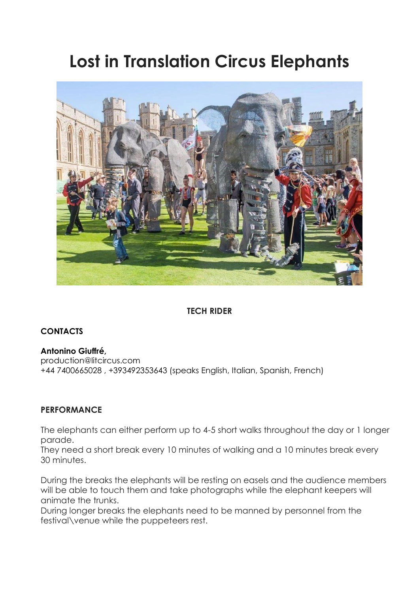# **Lost in Translation Circus Elephants**



# **TECH RIDER**

## **CONTACTS**

**Antonino Giuffré,** production@litcircus.com +44 7400665028 , +393492353643 (speaks English, Italian, Spanish, French)

## **PERFORMANCE**

The elephants can either perform up to 4-5 short walks throughout the day or 1 longer parade.

They need a short break every 10 minutes of walking and a 10 minutes break every 30 minutes.

During the breaks the elephants will be resting on easels and the audience members will be able to touch them and take photographs while the elephant keepers will animate the trunks.

During longer breaks the elephants need to be manned by personnel from the festival\venue while the puppeteers rest.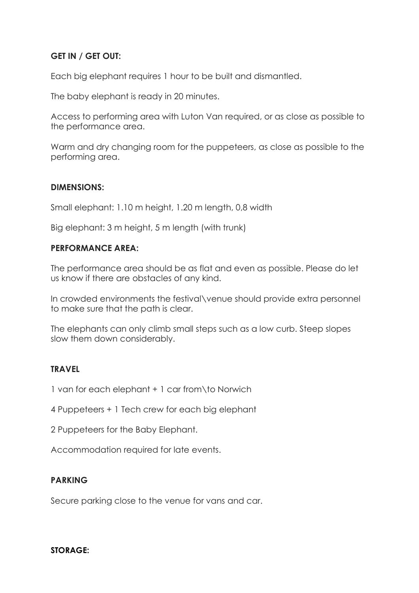## **GET IN / GET OUT:**

Each big elephant requires 1 hour to be built and dismantled.

The baby elephant is ready in 20 minutes.

Access to performing area with Luton Van required, or as close as possible to the performance area.

Warm and dry changing room for the puppeteers, as close as possible to the performing area.

#### **DIMENSIONS:**

Small elephant: 1.10 m height, 1.20 m length, 0,8 width

Big elephant: 3 m height, 5 m length (with trunk)

#### **PERFORMANCE AREA:**

The performance area should be as flat and even as possible. Please do let us know if there are obstacles of any kind.

In crowded environments the festival\venue should provide extra personnel to make sure that the path is clear.

The elephants can only climb small steps such as a low curb. Steep slopes slow them down considerably.

#### **TRAVEL**

1 van for each elephant + 1 car from\to Norwich

4 Puppeteers + 1 Tech crew for each big elephant

2 Puppeteers for the Baby Elephant.

Accommodation required for late events.

#### **PARKING**

Secure parking close to the venue for vans and car.

#### **STORAGE:**